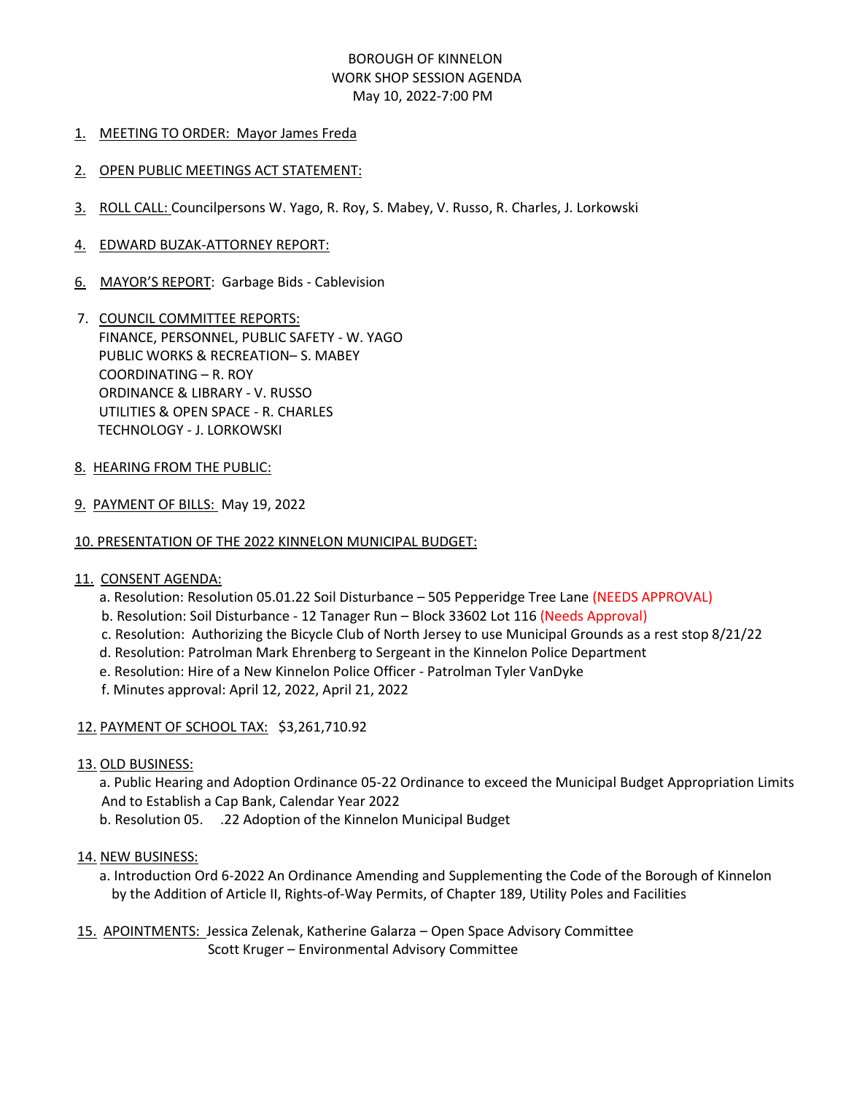### BOROUGH OF KINNELON WORK SHOP SESSION AGENDA May 10, 2022-7:00 PM

#### 1. MEETING TO ORDER: Mayor James Freda

#### 2. OPEN PUBLIC MEETINGS ACT STATEMENT:

- 3. ROLL CALL: Councilpersons W. Yago, R. Roy, S. Mabey, V. Russo, R. Charles, J. Lorkowski
- 4. EDWARD BUZAK-ATTORNEY REPORT:
- 6. MAYOR'S REPORT: Garbage Bids Cablevision
- 7. COUNCIL COMMITTEE REPORTS: FINANCE, PERSONNEL, PUBLIC SAFETY - W. YAGO PUBLIC WORKS & RECREATION– S. MABEY COORDINATING – R. ROY ORDINANCE & LIBRARY - V. RUSSO UTILITIES & OPEN SPACE - R. CHARLES TECHNOLOGY - J. LORKOWSKI
- 8. HEARING FROM THE PUBLIC:
- 9. PAYMENT OF BILLS: May 19, 2022
- 10. PRESENTATION OF THE 2022 KINNELON MUNICIPAL BUDGET:

#### 11. CONSENT AGENDA:

- a. Resolution: Resolution 05.01.22 Soil Disturbance 505 Pepperidge Tree Lane (NEEDS APPROVAL)
- b. Resolution: Soil Disturbance 12 Tanager Run Block 33602 Lot 116 (Needs Approval)
- c. Resolution: Authorizing the Bicycle Club of North Jersey to use Municipal Grounds as a rest stop 8/21/22
- d. Resolution: Patrolman Mark Ehrenberg to Sergeant in the Kinnelon Police Department
- e. Resolution: Hire of a New Kinnelon Police Officer Patrolman Tyler VanDyke
- f. Minutes approval: April 12, 2022, April 21, 2022

#### 12. PAYMENT OF SCHOOL TAX: \$3,261,710.92

#### 13. OLD BUSINESS:

a. Public Hearing and Adoption Ordinance 05-22 Ordinance to exceed the Municipal Budget Appropriation Limits And to Establish a Cap Bank, Calendar Year 2022

b. Resolution 05. .22 Adoption of the Kinnelon Municipal Budget

#### 14. NEW BUSINESS:

- a. Introduction Ord 6-2022 An Ordinance Amending and Supplementing the Code of the Borough of Kinnelon by the Addition of Article II, Rights-of-Way Permits, of Chapter 189, Utility Poles and Facilities
- 15. APOINTMENTS: Jessica Zelenak, Katherine Galarza Open Space Advisory Committee Scott Kruger – Environmental Advisory Committee